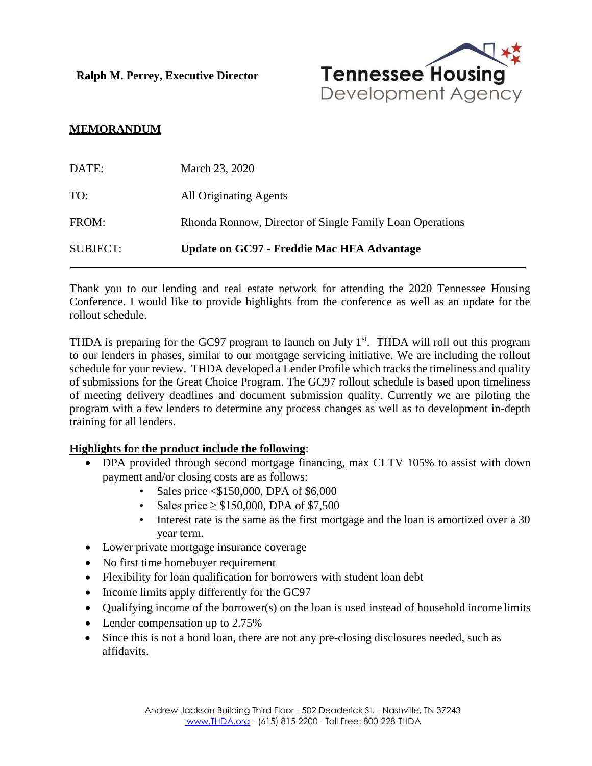**Ralph M. Perrey, Executive Director**



## **MEMORANDUM**

| DATE:           | March 23, 2020                                           |
|-----------------|----------------------------------------------------------|
| TO:             | All Originating Agents                                   |
| FROM:           | Rhonda Ronnow, Director of Single Family Loan Operations |
| <b>SUBJECT:</b> | Update on GC97 - Freddie Mac HFA Advantage               |

Thank you to our lending and real estate network for attending the 2020 Tennessee Housing Conference. I would like to provide highlights from the conference as well as an update for the rollout schedule.

THDA is preparing for the GC97 program to launch on July  $1<sup>st</sup>$ . THDA will roll out this program to our lenders in phases, similar to our mortgage servicing initiative. We are including the rollout schedule for your review. THDA developed a Lender Profile which tracks the timeliness and quality of submissions for the Great Choice Program. The GC97 rollout schedule is based upon timeliness of meeting delivery deadlines and document submission quality. Currently we are piloting the program with a few lenders to determine any process changes as well as to development in-depth training for all lenders.

## **Highlights for the product include the following**:

- DPA provided through second mortgage financing, max CLTV 105% to assist with down payment and/or closing costs are as follows:
	- Sales price <\$150,000, DPA of \$6,000
	- Sales price  $\geq$  \$150,000, DPA of \$7,500
	- Interest rate is the same as the first mortgage and the loan is amortized over a 30 year term.
- Lower private mortgage insurance coverage
- No first time homebuyer requirement
- Flexibility for loan qualification for borrowers with student loan debt
- Income limits apply differently for the GC97
- Qualifying income of the borrower(s) on the loan is used instead of household income limits
- Lender compensation up to 2.75%
- Since this is not a bond loan, there are not any pre-closing disclosures needed, such as affidavits.